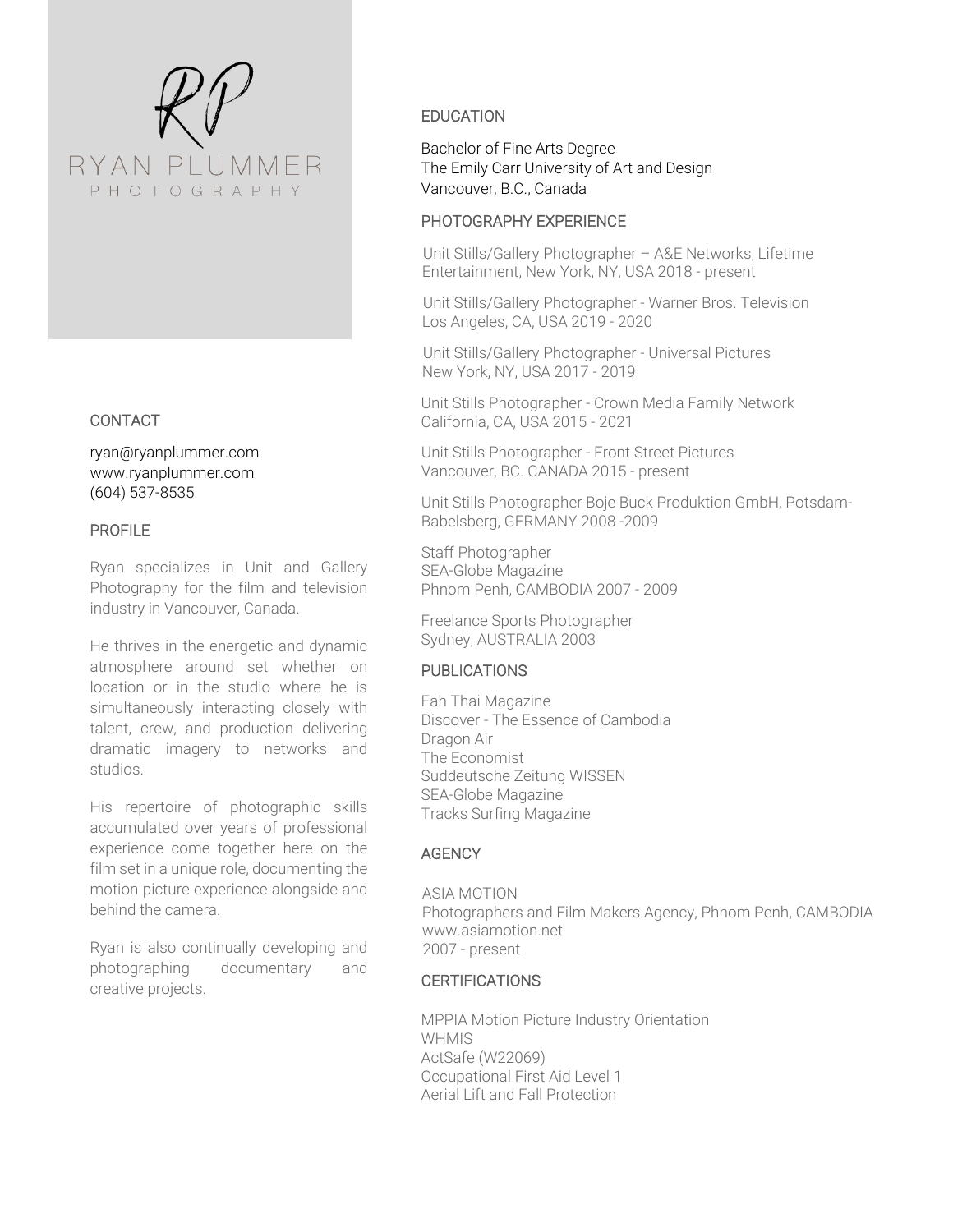

## CONTACT

ryan@ryanplummer.com www.ryanplummer.com (604) 537-8535

## PROFILE

Ryan specializes in Unit and Gallery Photography for the film and television industry in Vancouver, Canada.

He thrives in the energetic and dynamic atmosphere around set whether on location or in the studio where he is simultaneously interacting closely with talent, crew, and production delivering dramatic imagery to networks and studios.

His repertoire of photographic skills accumulated over years of professional experience come together here on the film set in a unique role, documenting the motion picture experience alongside and behind the camera.

Ryan is also continually developing and photographing documentary and creative projects.

# EDUCATION

Bachelor of Fine Arts Degree The Emily Carr University of Art and Design Vancouver, B.C., Canada

#### PHOTOGRAPHY EXPERIENCE

Unit Stills/Gallery Photographer – A&E Networks, Lifetime Entertainment, New York, NY, USA 2018 - present

Unit Stills/Gallery Photographer - Warner Bros. Television Los Angeles, CA, USA 2019 - 2020

Unit Stills/Gallery Photographer - Universal Pictures New York, NY, USA 2017 - 2019

Unit Stills Photographer - Crown Media Family Network California, CA, USA 2015 - 2021

Unit Stills Photographer - Front Street Pictures Vancouver, BC. CANADA 2015 - present

Unit Stills Photographer Boje Buck Produktion GmbH, Potsdam-Babelsberg, GERMANY 2008 -2009

Staff Photographer SEA-Globe Magazine Phnom Penh, CAMBODIA 2007 - 2009

Freelance Sports Photographer Sydney, AUSTRALIA 2003

## PUBLICATIONS

Fah Thai Magazine Discover - The Essence of Cambodia Dragon Air The Economist Suddeutsche Zeitung WISSEN SEA-Globe Magazine Tracks Surfing Magazine

# **AGENCY**

ASIA MOTION Photographers and Film Makers Agency, Phnom Penh, CAMBODIA www.asiamotion.net 2007 - present

# **CERTIFICATIONS**

MPPIA Motion Picture Industry Orientation **WHMIS** ActSafe (W22069) Occupational First Aid Level 1 Aerial Lift and Fall Protection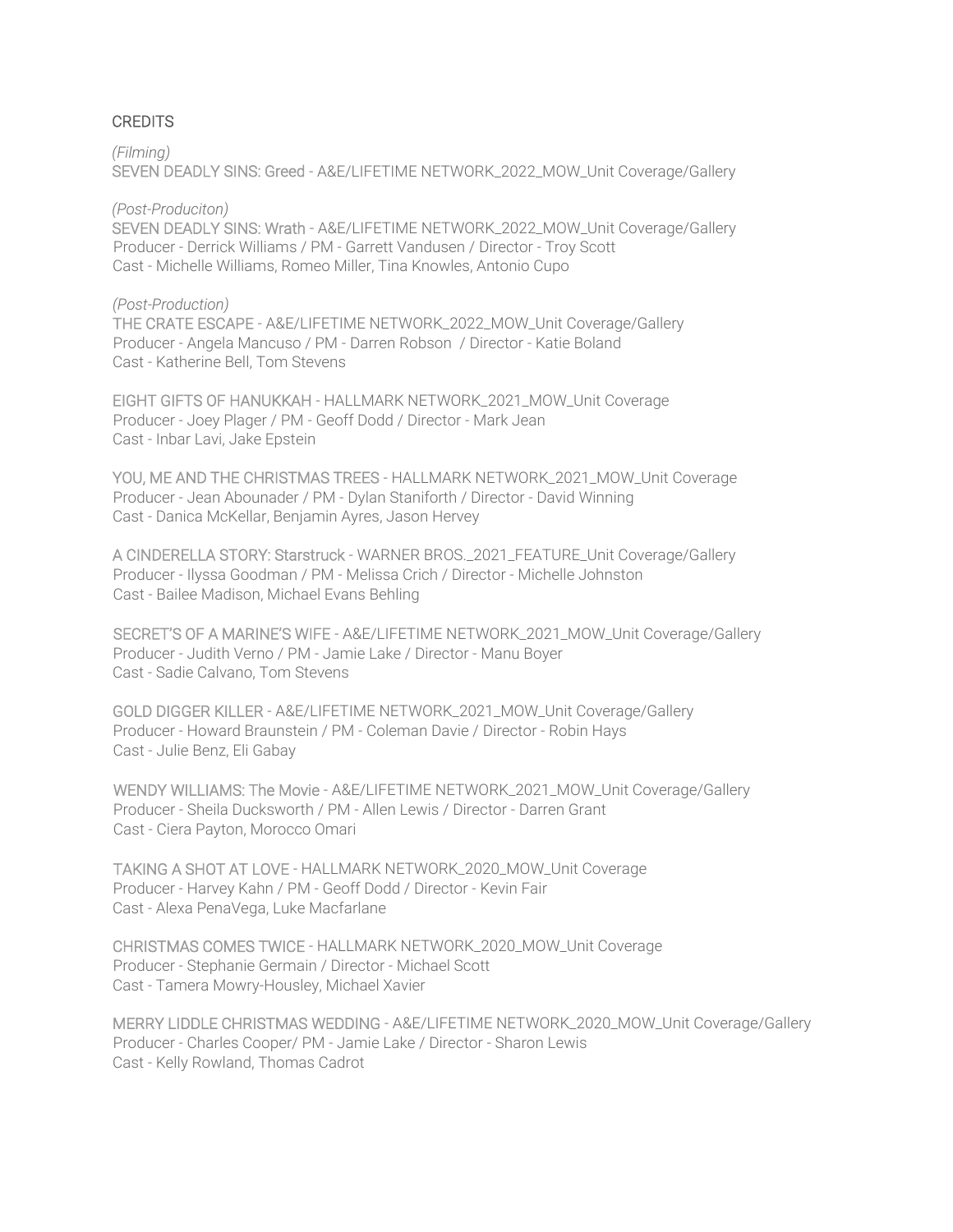#### **CREDITS**

*(Filming)* SEVEN DEADLY SINS: Greed - A&E/LIFETIME NETWORK\_2022\_MOW\_Unit Coverage/Gallery

*(Post-Produciton)*

SEVEN DEADLY SINS: Wrath - A&E/LIFETIME NETWORK\_2022\_MOW\_Unit Coverage/Gallery Producer - Derrick Williams / PM - Garrett Vandusen / Director - Troy Scott Cast - Michelle Williams, Romeo Miller, Tina Knowles, Antonio Cupo

#### *(Post-Production)*

THE CRATE ESCAPE - A&E/LIFETIME NETWORK\_2022\_MOW\_Unit Coverage/Gallery Producer - Angela Mancuso / PM - Darren Robson / Director - Katie Boland Cast - Katherine Bell, Tom Stevens

EIGHT GIFTS OF HANUKKAH - HALLMARK NETWORK\_2021\_MOW\_Unit Coverage Producer - Joey Plager / PM - Geoff Dodd / Director - Mark Jean Cast - Inbar Lavi, Jake Epstein

YOU, ME AND THE CHRISTMAS TREES - HALLMARK NETWORK\_2021\_MOW\_Unit Coverage Producer - Jean Abounader / PM - Dylan Staniforth / Director - David Winning Cast - Danica McKellar, Benjamin Ayres, Jason Hervey

A CINDERELLA STORY: Starstruck - WARNER BROS.\_2021\_FEATURE\_Unit Coverage/Gallery Producer - Ilyssa Goodman / PM - Melissa Crich / Director - Michelle Johnston Cast - Bailee Madison, Michael Evans Behling

SECRET'S OF A MARINE'S WIFE - A&E/LIFETIME NETWORK\_2021\_MOW\_Unit Coverage/Gallery Producer - Judith Verno / PM - Jamie Lake / Director - Manu Boyer Cast - Sadie Calvano, Tom Stevens

GOLD DIGGER KILLER - A&E/LIFETIME NETWORK\_2021\_MOW\_Unit Coverage/Gallery Producer - Howard Braunstein / PM - Coleman Davie / Director - Robin Hays Cast - Julie Benz, Eli Gabay

WENDY WILLIAMS: The Movie - A&E/LIFETIME NETWORK\_2021\_MOW\_Unit Coverage/Gallery Producer - Sheila Ducksworth / PM - Allen Lewis / Director - Darren Grant Cast - Ciera Payton, Morocco Omari

TAKING A SHOT AT LOVE - HALLMARK NETWORK\_2020\_MOW\_Unit Coverage Producer - Harvey Kahn / PM - Geoff Dodd / Director - Kevin Fair Cast - Alexa PenaVega, Luke Macfarlane

CHRISTMAS COMES TWICE - HALLMARK NETWORK\_2020\_MOW\_Unit Coverage Producer - Stephanie Germain / Director - Michael Scott Cast - Tamera Mowry-Housley, Michael Xavier

MERRY LIDDLE CHRISTMAS WEDDING - A&E/LIFETIME NETWORK\_2020\_MOW\_Unit Coverage/Gallery Producer - Charles Cooper/ PM - Jamie Lake / Director - Sharon Lewis Cast - Kelly Rowland, Thomas Cadrot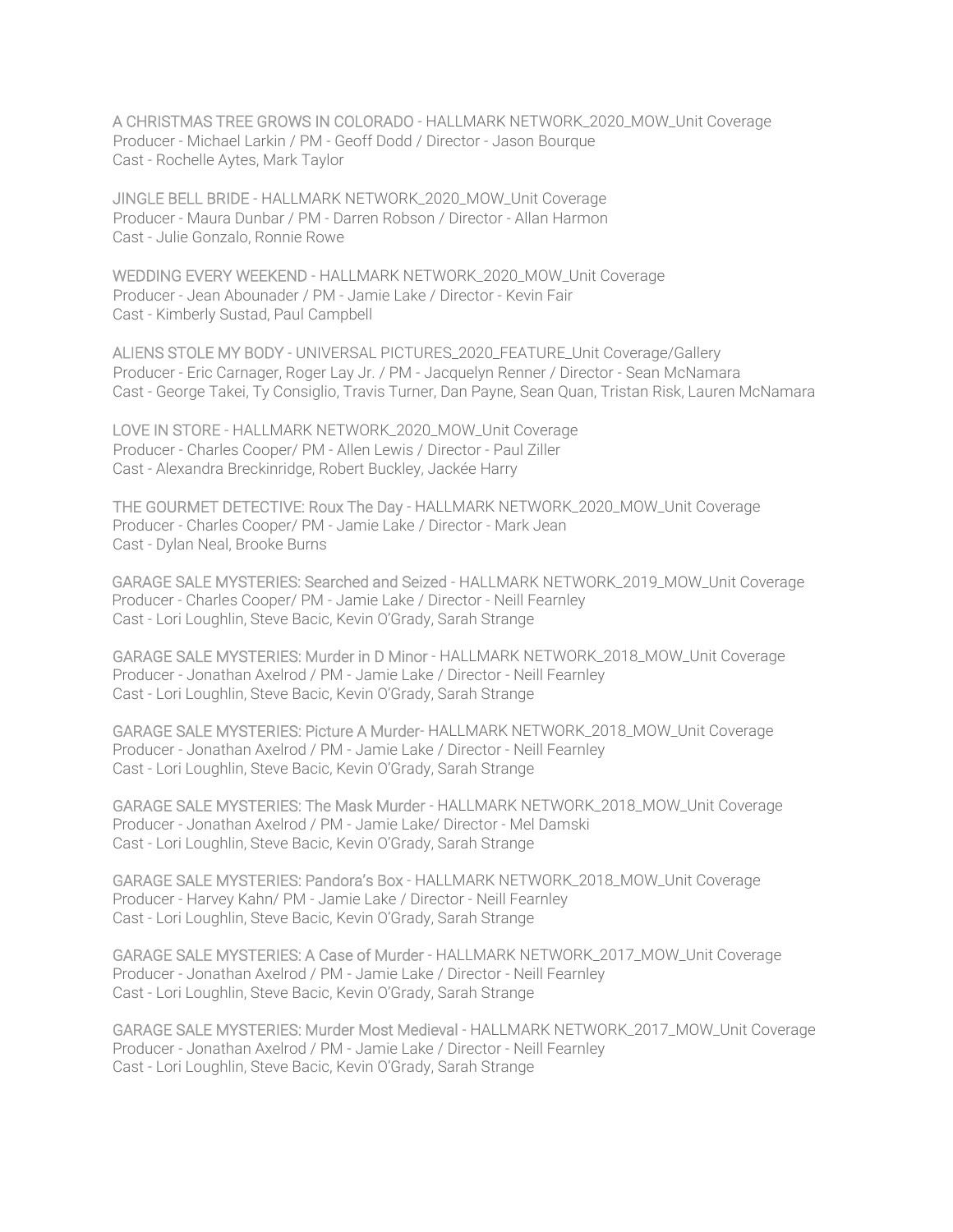A CHRISTMAS TREE GROWS IN COLORADO - HALLMARK NETWORK\_2020\_MOW\_Unit Coverage Producer - Michael Larkin / PM - Geoff Dodd / Director - Jason Bourque Cast - Rochelle Aytes, Mark Taylor

JINGLE BELL BRIDE - HALLMARK NETWORK\_2020\_MOW\_Unit Coverage Producer - Maura Dunbar / PM - Darren Robson / Director - Allan Harmon Cast - Julie Gonzalo, Ronnie Rowe

WEDDING EVERY WEEKEND - HALLMARK NETWORK\_2020\_MOW\_Unit Coverage Producer - Jean Abounader / PM - Jamie Lake / Director - Kevin Fair Cast - Kimberly Sustad, Paul Campbell

ALIENS STOLE MY BODY - UNIVERSAL PICTURES\_2020\_FEATURE\_Unit Coverage/Gallery Producer - Eric Carnager, Roger Lay Jr. / PM - Jacquelyn Renner / Director - Sean McNamara Cast - George Takei, Ty Consiglio, Travis Turner, Dan Payne, Sean Quan, Tristan Risk, Lauren McNamara

LOVE IN STORE - HALLMARK NETWORK\_2020\_MOW\_Unit Coverage Producer - Charles Cooper/ PM - Allen Lewis / Director - Paul Ziller Cast - Alexandra Breckinridge, Robert Buckley, Jackée Harry

THE GOURMET DETECTIVE: Roux The Day - HALLMARK NETWORK\_2020\_MOW\_Unit Coverage Producer - Charles Cooper/ PM - Jamie Lake / Director - Mark Jean Cast - Dylan Neal, Brooke Burns

GARAGE SALE MYSTERIES: Searched and Seized - HALLMARK NETWORK\_2019\_MOW\_Unit Coverage Producer - Charles Cooper/ PM - Jamie Lake / Director - Neill Fearnley Cast - Lori Loughlin, Steve Bacic, Kevin O'Grady, Sarah Strange

GARAGE SALE MYSTERIES: Murder in D Minor - HALLMARK NETWORK\_2018\_MOW\_Unit Coverage Producer - Jonathan Axelrod / PM - Jamie Lake / Director - Neill Fearnley Cast - Lori Loughlin, Steve Bacic, Kevin O'Grady, Sarah Strange

GARAGE SALE MYSTERIES: Picture A Murder- HALLMARK NETWORK\_2018\_MOW\_Unit Coverage Producer - Jonathan Axelrod / PM - Jamie Lake / Director - Neill Fearnley Cast - Lori Loughlin, Steve Bacic, Kevin O'Grady, Sarah Strange

GARAGE SALE MYSTERIES: The Mask Murder - HALLMARK NETWORK\_2018\_MOW\_Unit Coverage Producer - Jonathan Axelrod / PM - Jamie Lake/ Director - Mel Damski Cast - Lori Loughlin, Steve Bacic, Kevin O'Grady, Sarah Strange

GARAGE SALE MYSTERIES: Pandora's Box - HALLMARK NETWORK\_2018\_MOW\_Unit Coverage Producer - Harvey Kahn/ PM - Jamie Lake / Director - Neill Fearnley Cast - Lori Loughlin, Steve Bacic, Kevin O'Grady, Sarah Strange

GARAGE SALE MYSTERIES: A Case of Murder - HALLMARK NETWORK\_2017\_MOW\_Unit Coverage Producer - Jonathan Axelrod / PM - Jamie Lake / Director - Neill Fearnley Cast - Lori Loughlin, Steve Bacic, Kevin O'Grady, Sarah Strange

GARAGE SALE MYSTERIES: Murder Most Medieval - HALLMARK NETWORK\_2017\_MOW\_Unit Coverage Producer - Jonathan Axelrod / PM - Jamie Lake / Director - Neill Fearnley Cast - Lori Loughlin, Steve Bacic, Kevin O'Grady, Sarah Strange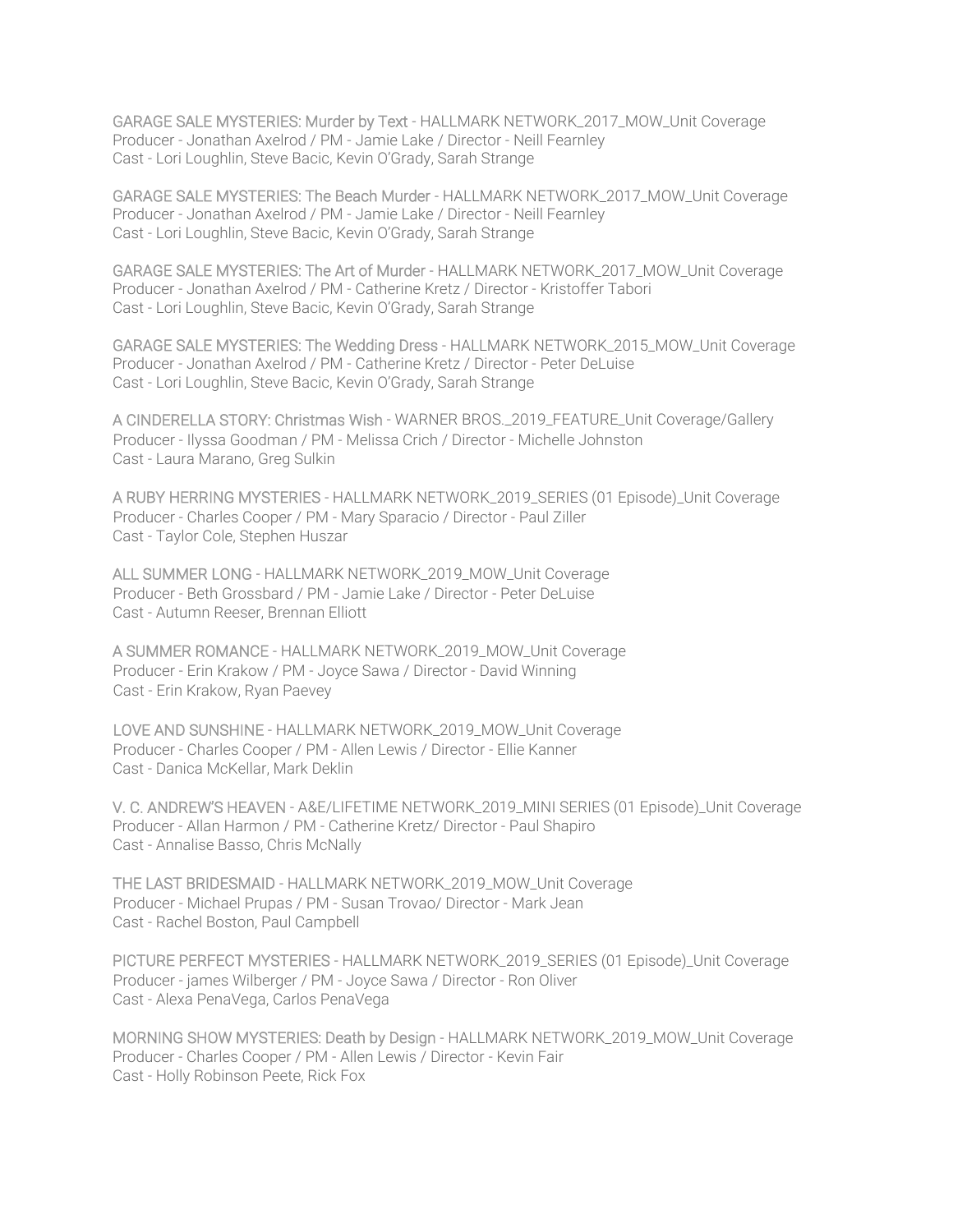GARAGE SALE MYSTERIES: Murder by Text - HALLMARK NETWORK\_2017\_MOW\_Unit Coverage Producer - Jonathan Axelrod / PM - Jamie Lake / Director - Neill Fearnley Cast - Lori Loughlin, Steve Bacic, Kevin O'Grady, Sarah Strange

GARAGE SALE MYSTERIES: The Beach Murder - HALLMARK NETWORK\_2017\_MOW\_Unit Coverage Producer - Jonathan Axelrod / PM - Jamie Lake / Director - Neill Fearnley Cast - Lori Loughlin, Steve Bacic, Kevin O'Grady, Sarah Strange

GARAGE SALE MYSTERIES: The Art of Murder - HALLMARK NETWORK\_2017\_MOW\_Unit Coverage Producer - Jonathan Axelrod / PM - Catherine Kretz / Director - Kristoffer Tabori Cast - Lori Loughlin, Steve Bacic, Kevin O'Grady, Sarah Strange

GARAGE SALE MYSTERIES: The Wedding Dress - HALLMARK NETWORK\_2015\_MOW\_Unit Coverage Producer - Jonathan Axelrod / PM - Catherine Kretz / Director - Peter DeLuise Cast - Lori Loughlin, Steve Bacic, Kevin O'Grady, Sarah Strange

A CINDERELLA STORY: Christmas Wish - WARNER BROS.\_2019\_FEATURE\_Unit Coverage/Gallery Producer - Ilyssa Goodman / PM - Melissa Crich / Director - Michelle Johnston Cast - Laura Marano, Greg Sulkin

A RUBY HERRING MYSTERIES - HALLMARK NETWORK\_2019\_SERIES (01 Episode)\_Unit Coverage Producer - Charles Cooper / PM - Mary Sparacio / Director - Paul Ziller Cast - Taylor Cole, Stephen Huszar

ALL SUMMER LONG - HALLMARK NETWORK\_2019\_MOW\_Unit Coverage Producer - Beth Grossbard / PM - Jamie Lake / Director - Peter DeLuise Cast - Autumn Reeser, Brennan Elliott

A SUMMER ROMANCE - HALLMARK NETWORK\_2019\_MOW\_Unit Coverage Producer - Erin Krakow / PM - Joyce Sawa / Director - David Winning Cast - Erin Krakow, Ryan Paevey

LOVE AND SUNSHINE - HALLMARK NETWORK\_2019\_MOW\_Unit Coverage Producer - Charles Cooper / PM - Allen Lewis / Director - Ellie Kanner Cast - Danica McKellar, Mark Deklin

V. C. ANDREW'S HEAVEN - A&E/LIFETIME NETWORK\_2019\_MINI SERIES (01 Episode)\_Unit Coverage Producer - Allan Harmon / PM - Catherine Kretz/ Director - Paul Shapiro Cast - Annalise Basso, Chris McNally

THE LAST BRIDESMAID - HALLMARK NETWORK\_2019\_MOW\_Unit Coverage Producer - Michael Prupas / PM - Susan Trovao/ Director - Mark Jean Cast - Rachel Boston, Paul Campbell

PICTURE PERFECT MYSTERIES - HALLMARK NETWORK\_2019\_SERIES (01 Episode)\_Unit Coverage Producer - james Wilberger / PM - Joyce Sawa / Director - Ron Oliver Cast - Alexa PenaVega, Carlos PenaVega

MORNING SHOW MYSTERIES: Death by Design - HALLMARK NETWORK\_2019\_MOW\_Unit Coverage Producer - Charles Cooper / PM - Allen Lewis / Director - Kevin Fair Cast - Holly Robinson Peete, Rick Fox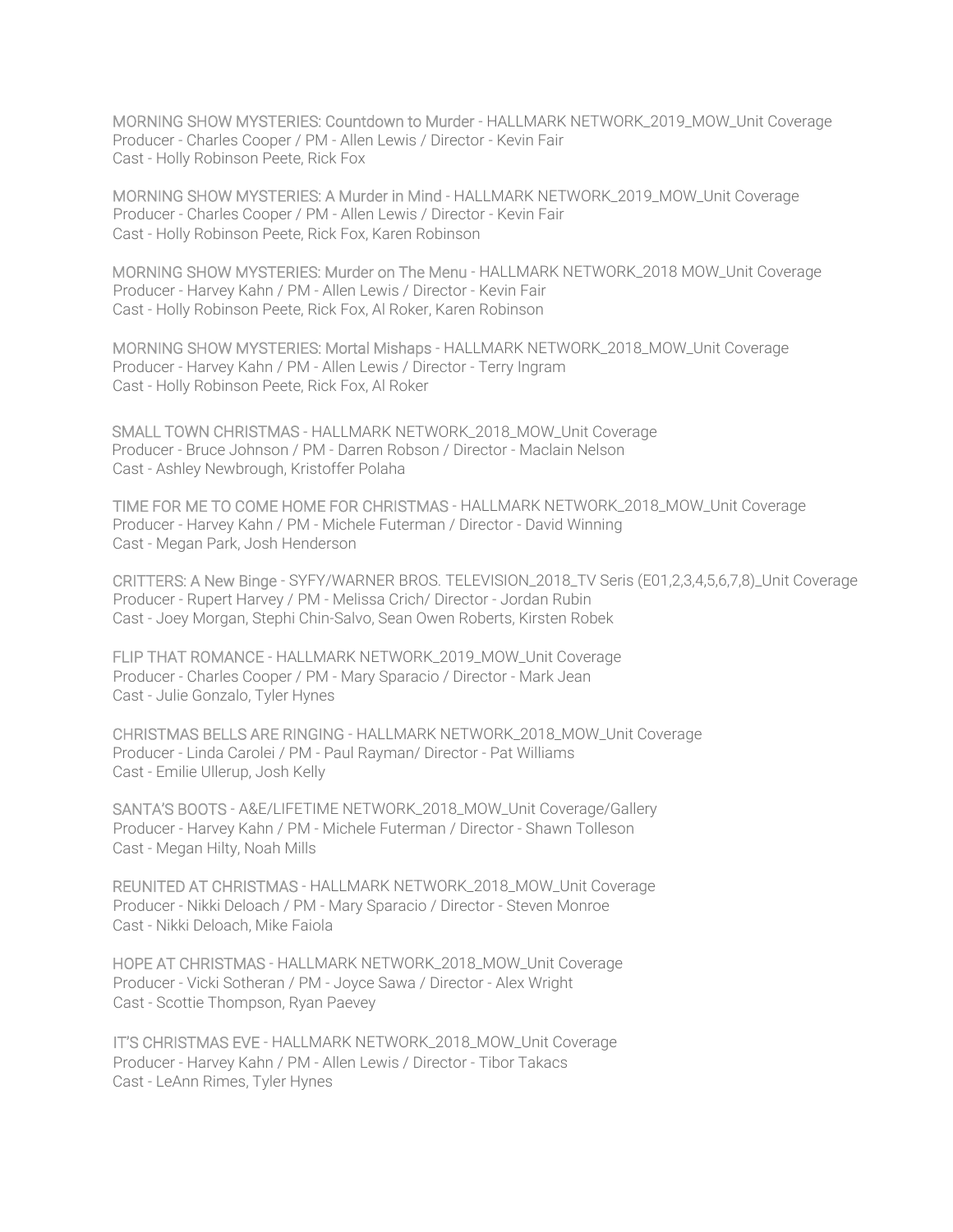MORNING SHOW MYSTERIES: Countdown to Murder - HALLMARK NETWORK\_2019\_MOW\_Unit Coverage Producer - Charles Cooper / PM - Allen Lewis / Director - Kevin Fair Cast - Holly Robinson Peete, Rick Fox

MORNING SHOW MYSTERIES: A Murder in Mind - HALLMARK NETWORK\_2019\_MOW\_Unit Coverage Producer - Charles Cooper / PM - Allen Lewis / Director - Kevin Fair Cast - Holly Robinson Peete, Rick Fox, Karen Robinson

MORNING SHOW MYSTERIES: Murder on The Menu - HALLMARK NETWORK\_2018 MOW\_Unit Coverage Producer - Harvey Kahn / PM - Allen Lewis / Director - Kevin Fair Cast - Holly Robinson Peete, Rick Fox, Al Roker, Karen Robinson

MORNING SHOW MYSTERIES: Mortal Mishaps - HALLMARK NETWORK\_2018\_MOW\_Unit Coverage Producer - Harvey Kahn / PM - Allen Lewis / Director - Terry Ingram Cast - Holly Robinson Peete, Rick Fox, Al Roker

SMALL TOWN CHRISTMAS - HALLMARK NETWORK\_2018\_MOW\_Unit Coverage Producer - Bruce Johnson / PM - Darren Robson / Director - Maclain Nelson Cast - Ashley Newbrough, Kristoffer Polaha

TIME FOR ME TO COME HOME FOR CHRISTMAS - HALLMARK NETWORK\_2018\_MOW\_Unit Coverage Producer - Harvey Kahn / PM - Michele Futerman / Director - David Winning Cast - Megan Park, Josh Henderson

CRITTERS: A New Binge - SYFY/WARNER BROS. TELEVISION\_2018\_TV Seris (E01,2,3,4,5,6,7,8)\_Unit Coverage Producer - Rupert Harvey / PM - Melissa Crich/ Director - Jordan Rubin Cast - Joey Morgan, Stephi Chin-Salvo, Sean Owen Roberts, Kirsten Robek

FLIP THAT ROMANCE - HALLMARK NETWORK\_2019\_MOW\_Unit Coverage Producer - Charles Cooper / PM - Mary Sparacio / Director - Mark Jean Cast - Julie Gonzalo, Tyler Hynes

CHRISTMAS BELLS ARE RINGING - HALLMARK NETWORK\_2018\_MOW\_Unit Coverage Producer - Linda Carolei / PM - Paul Rayman/ Director - Pat Williams Cast - Emilie Ullerup, Josh Kelly

SANTA'S BOOTS - A&E/LIFETIME NETWORK\_2018\_MOW\_Unit Coverage/Gallery Producer - Harvey Kahn / PM - Michele Futerman / Director - Shawn Tolleson Cast - Megan Hilty, Noah Mills

REUNITED AT CHRISTMAS - HALLMARK NETWORK\_2018\_MOW\_Unit Coverage Producer - Nikki Deloach / PM - Mary Sparacio / Director - Steven Monroe Cast - Nikki Deloach, Mike Faiola

HOPE AT CHRISTMAS - HALLMARK NETWORK\_2018\_MOW\_Unit Coverage Producer - Vicki Sotheran / PM - Joyce Sawa / Director - Alex Wright Cast - Scottie Thompson, Ryan Paevey

IT'S CHRISTMAS EVE - HALLMARK NETWORK\_2018\_MOW\_Unit Coverage Producer - Harvey Kahn / PM - Allen Lewis / Director - Tibor Takacs Cast - LeAnn Rimes, Tyler Hynes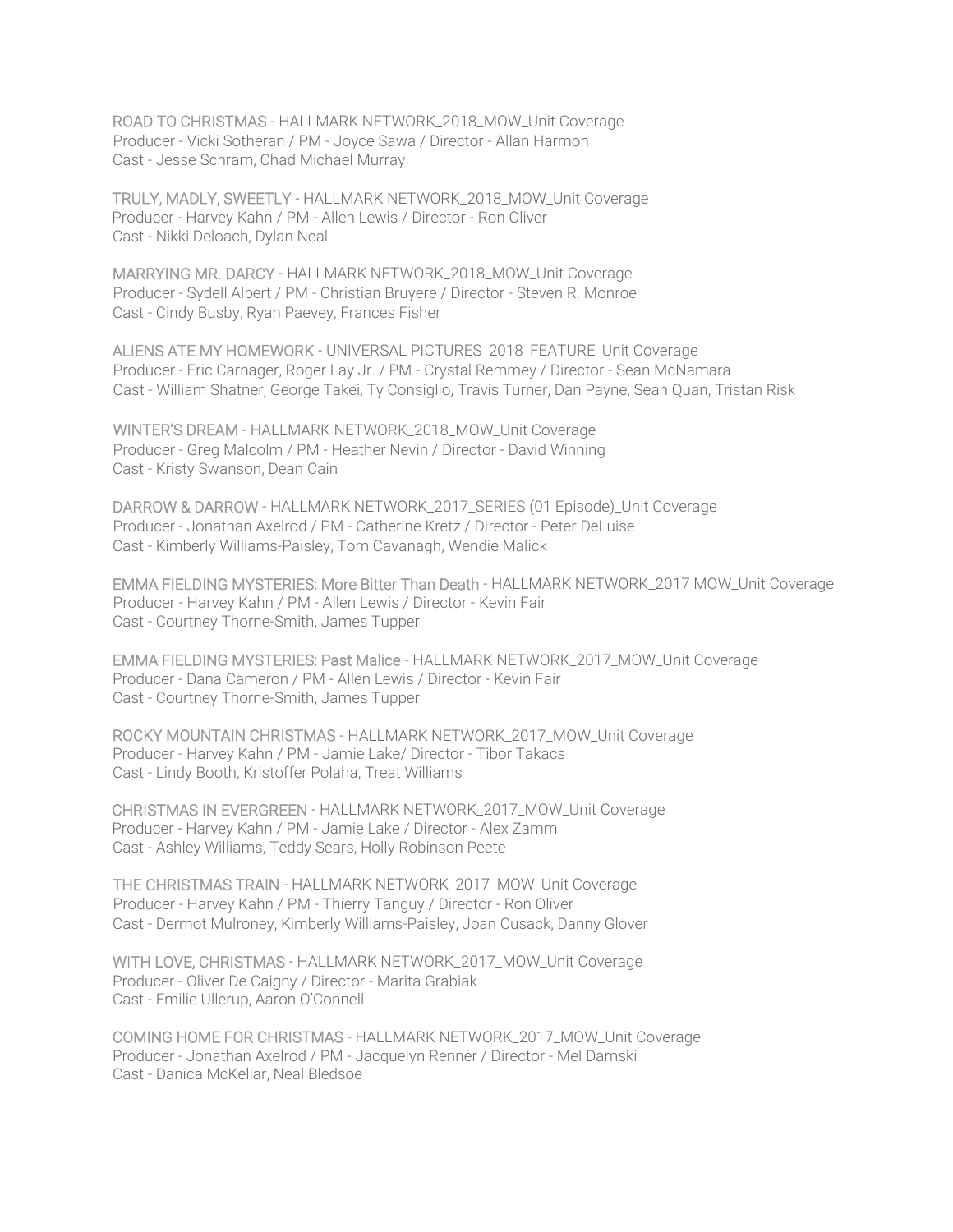ROAD TO CHRISTMAS - HALLMARK NETWORK\_2018\_MOW\_Unit Coverage Producer - Vicki Sotheran / PM - Joyce Sawa / Director - Allan Harmon Cast - Jesse Schram, Chad Michael Murray

TRULY, MADLY, SWEETLY - HALLMARK NETWORK\_2018\_MOW\_Unit Coverage Producer - Harvey Kahn / PM - Allen Lewis / Director - Ron Oliver Cast - Nikki Deloach, Dylan Neal

MARRYING MR. DARCY - HALLMARK NETWORK\_2018\_MOW\_Unit Coverage Producer - Sydell Albert / PM - Christian Bruyere / Director - Steven R. Monroe Cast - Cindy Busby, Ryan Paevey, Frances Fisher

ALIENS ATE MY HOMEWORK - UNIVERSAL PICTURES\_2018\_FEATURE\_Unit Coverage Producer - Eric Carnager, Roger Lay Jr. / PM - Crystal Remmey / Director - Sean McNamara Cast - William Shatner, George Takei, Ty Consiglio, Travis Turner, Dan Payne, Sean Quan, Tristan Risk

WINTER'S DREAM - HALLMARK NETWORK\_2018\_MOW\_Unit Coverage Producer - Greg Malcolm / PM - Heather Nevin / Director - David Winning Cast - Kristy Swanson, Dean Cain

DARROW & DARROW - HALLMARK NETWORK\_2017\_SERIES (01 Episode)\_Unit Coverage Producer - Jonathan Axelrod / PM - Catherine Kretz / Director - Peter DeLuise Cast - Kimberly Williams-Paisley, Tom Cavanagh, Wendie Malick

EMMA FIELDING MYSTERIES: More Bitter Than Death - HALLMARK NETWORK\_2017 MOW\_Unit Coverage Producer - Harvey Kahn / PM - Allen Lewis / Director - Kevin Fair Cast - Courtney Thorne-Smith, James Tupper

EMMA FIELDING MYSTERIES: Past Malice - HALLMARK NETWORK\_2017\_MOW\_Unit Coverage Producer - Dana Cameron / PM - Allen Lewis / Director - Kevin Fair Cast - Courtney Thorne-Smith, James Tupper

ROCKY MOUNTAIN CHRISTMAS - HALLMARK NETWORK\_2017\_MOW\_Unit Coverage Producer - Harvey Kahn / PM - Jamie Lake/ Director - Tibor Takacs Cast - Lindy Booth, Kristoffer Polaha, Treat Williams

CHRISTMAS IN EVERGREEN - HALLMARK NETWORK\_2017\_MOW\_Unit Coverage Producer - Harvey Kahn / PM - Jamie Lake / Director - Alex Zamm Cast - Ashley Williams, Teddy Sears, Holly Robinson Peete

THE CHRISTMAS TRAIN - HALLMARK NETWORK\_2017\_MOW\_Unit Coverage Producer - Harvey Kahn / PM - Thierry Tanguy / Director - Ron Oliver Cast - Dermot Mulroney, Kimberly Williams-Paisley, Joan Cusack, Danny Glover

WITH LOVE, CHRISTMAS - HALLMARK NETWORK\_2017\_MOW\_Unit Coverage Producer - Oliver De Caigny / Director - Marita Grabiak Cast - Emilie Ullerup, Aaron O'Connell

COMING HOME FOR CHRISTMAS - HALLMARK NETWORK\_2017\_MOW\_Unit Coverage Producer - Jonathan Axelrod / PM - Jacquelyn Renner / Director - Mel Damski Cast - Danica McKellar, Neal Bledsoe